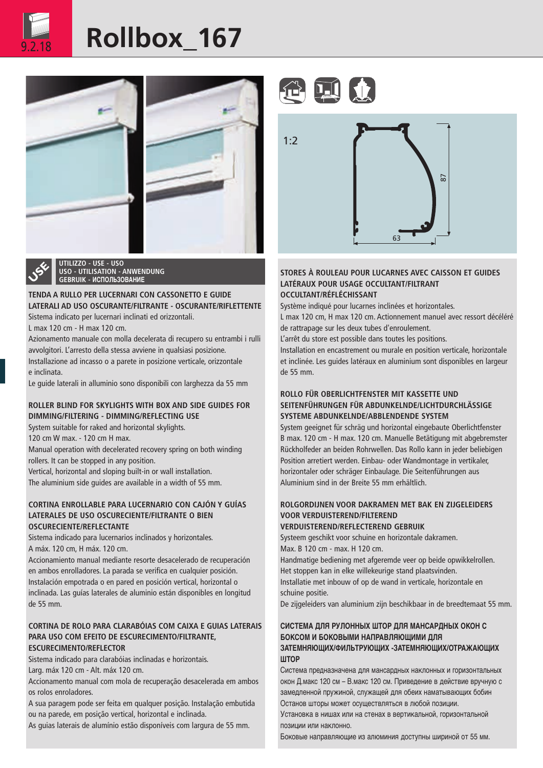

## Rollbox 167



**UTILIZZO - USE - USO USO - UTILISATION - ANWENDUNG GEBRUIK - ИСПОЛЬЗОВАНИЕ**

### **TENDA A RULLO PER LUCERNARI CON CASSONETTO E GUIDE LATERALI AD USO OSCURANTE/FILTRANTE - OSCURANTE/RIFLETTENTE** Sistema indicato per lucernari inclinati ed orizzontali.

L max 120 cm - H max 120 cm.

Azionamento manuale con molla decelerata di recupero su entrambi i rulli avvolgitori. L'arresto della stessa avviene in qualsiasi posizione. Installazione ad incasso o a parete in posizione verticale, orizzontale

e inclinata.

Le guide laterali in alluminio sono disponibili con larghezza da 55 mm

## **ROLLER BLIND FOR SKYLIGHTS WITH BOX AND SIDE GUIDES FOR DIMMING/FILTERING - DIMMING/REFLECTING USE**

System suitable for raked and horizontal skylights.

120 cm W max. - 120 cm H max.

Manual operation with decelerated recovery spring on both winding rollers. It can be stopped in any position.

Vertical, horizontal and sloping built-in or wall installation. The aluminium side guides are available in a width of 55 mm.

### **CORTINA ENROLLABLE PARA LUCERNARIO CON CAJÓN Y GUÍAS LATERALES DE USO OSCURECIENTE/FILTRANTE O BIEN OSCURECIENTE/REFLECTANTE**

Sistema indicado para lucernarios inclinados y horizontales. A máx. 120 cm, H máx. 120 cm.

Accionamiento manual mediante resorte desacelerado de recuperación en ambos enrolladores. La parada se verifica en cualquier posición. Instalación empotrada o en pared en posición vertical, horizontal o inclinada. Las guías laterales de aluminio están disponibles en longitud de 55 mm.

### **CORTINA DE ROLO PARA CLARABÓIAS COM CAIXA E GUIAS LATERAIS PARA USO COM EFEITO DE ESCURECIMENTO/FILTRANTE, ESCURECIMENTO/REFLECTOR**

Sistema indicado para clarabóias inclinadas e horizontais.

Larg. máx 120 cm - Alt. máx 120 cm.

Accionamento manual com mola de recuperação desacelerada em ambos os rolos enroladores.

A sua paragem pode ser feita em qualquer posição. Instalação embutida ou na parede, em posição vertical, horizontal e inclinada.

As guias laterais de alumínio estão disponíveis com largura de 55 mm.





### **STORES À ROULEAU POUR LUCARNES AVEC CAISSON ET GUIDES LATÉRAUX POUR USAGE OCCULTANT/FILTRANT OCCULTANT/RÉFLÉCHISSANT**

Système indiqué pour lucarnes inclinées et horizontales.

L max 120 cm, H max 120 cm. Actionnement manuel avec ressort décéléré de rattrapage sur les deux tubes d'enroulement.

L'arrêt du store est possible dans toutes les positions.

Installation en encastrement ou murale en position verticale, horizontale et inclinée. Les guides latéraux en aluminium sont disponibles en largeur de 55 mm.

### **ROLLO FÜR OBERLICHTFENSTER MIT KASSETTE UND SEITENFÜHRUNGEN FÜR ABDUNKELNDE/LICHTDURCHLÄSSIGE SYSTEME ABDUNKELNDE/ABBLENDENDE SYSTEM**

System geeignet für schräg und horizontal eingebaute Oberlichtfenster B max. 120 cm - H max. 120 cm. Manuelle Betätigung mit abgebremster Rückholfeder an beiden Rohrwellen. Das Rollo kann in jeder beliebigen Position arretiert werden. Einbau- oder Wandmontage in vertikaler, horizontaler oder schräger Einbaulage. Die Seitenführungen aus Aluminium sind in der Breite 55 mm erhältlich.

## **ROLGORDIJNEN VOOR DAKRAMEN MET BAK EN ZIJGELEIDERS VOOR VERDUISTEREND/FILTEREND**

**VERDUISTEREND/REFLECTEREND GEBRUIK**

Systeem geschikt voor schuine en horizontale dakramen. Max. B 120 cm - max. H 120 cm.

Handmatige bediening met afgeremde veer op beide opwikkelrollen. Het stoppen kan in elke willekeurige stand plaatsvinden. Installatie met inbouw of op de wand in verticale, horizontale en schuine positie.

De zijgeleiders van aluminium zijn beschikbaar in de breedtemaat 55 mm.

### **СИСТЕМА ДЛЯ РУЛОННЫХ ШТОР ДЛЯ МАНСАРДНЫХ ОКОН С БОКСОМ И БОКОВЫМИ НАПРАВЛЯЮЩИМИ ДЛЯ ЗАТЕМНЯЮЩИХ/ФИЛЬТРУЮЩИХ -ЗАТЕМНЯЮЩИХ/ОТРАЖАЮЩИХ ШТОР**

Система предназначена для мансардных наклонных и горизонтальных окон Д.макс 120 см – В.макс 120 см. Приведение в действие вручную с замедленной пружиной, служащей для обеих наматывающих бобин Останов шторы может осуществляться в любой позиции.

Установка в нишах или на стенах в вертикальной, горизонтальной позиции или наклонно.

Боковые направляющие из алюминия доступны шириной от 55 мм.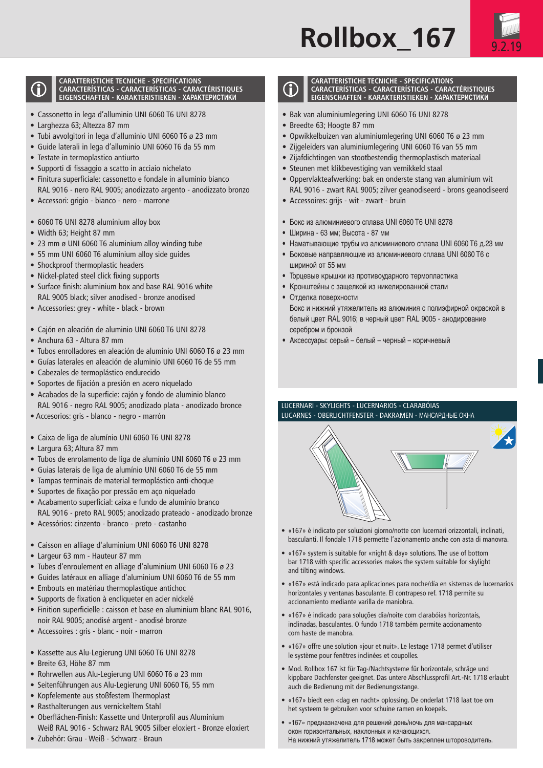## **Rollbox 167**



#### **CARATTERISTICHE TECNICHE - SPECIFICATIONS CARACTERÍSTICAS - CARACTERÍSTICAS - CARACTÉRISTIQUES EIGENSCHAFTEN - KARAKTERISTIEKEN - ХАРАКТЕРИСТИКИ**

- Cassonetto in lega d'alluminio UNI 6060 T6 UNI 8278
- Larghezza 63; Altezza 87 mm
- Tubi avvolgitori in lega d'alluminio UNI 6060 T6 ø 23 mm
- Guide laterali in lega d'alluminio UNI 6060 T6 da 55 mm
- Testate in termoplastico antiurto
- Supporti di fissaggio a scatto in acciaio nichelato
- Finitura superficiale: cassonetto e fondale in alluminio bianco RAL 9016 - nero RAL 9005; anodizzato argento - anodizzato bronzo
- Accessori: grigio bianco nero marrone
- 6060 T6 UNI 8278 aluminium alloy box
- Width 63; Height 87 mm
- 23 mm ø UNI 6060 T6 aluminium alloy winding tube
- 55 mm UNI 6060 T6 aluminium alloy side guides
- Shockproof thermoplastic headers
- Nickel-plated steel click fixing supports
- Surface finish: aluminium box and base RAL 9016 white RAL 9005 black; silver anodised - bronze anodised
- Accessories: grey white black brown
- Cajón en aleación de aluminio UNI 6060 T6 UNI 8278
- Anchura 63 Altura 87 mm
- Tubos enrolladores en aleación de aluminio UNI 6060 T6 ø 23 mm
- Guías laterales en aleación de aluminio UNI 6060 T6 de 55 mm
- Cabezales de termoplástico endurecido
- Soportes de fijación a presión en acero niquelado
- Acabados de la superficie: cajón y fondo de aluminio blanco RAL 9016 - negro RAL 9005; anodizado plata - anodizado bronce
- Accesorios: gris blanco negro marrón
- Caixa de liga de alumínio UNI 6060 T6 UNI 8278
- Largura 63; Altura 87 mm
- Tubos de enrolamento de liga de alumínio UNI 6060 T6 ø 23 mm
- Guias laterais de liga de alumínio UNI 6060 T6 de 55 mm
- Tampas terminais de material termoplástico anti-choque
- Suportes de fixação por pressão em aço niquelado
- Acabamento superficial: caixa e fundo de alumínio branco RAL 9016 - preto RAL 9005; anodizado prateado - anodizado bronze
- Acessórios: cinzento branco preto castanho
- Caisson en alliage d'aluminium UNI 6060 T6 UNI 8278
- Largeur 63 mm Hauteur 87 mm
- Tubes d'enroulement en alliage d'aluminium UNI 6060 T6 ø 23
- Guides latéraux en alliage d'aluminium UNI 6060 T6 de 55 mm
- Embouts en matériau thermoplastique antichoc
- Supports de fixation à encliqueter en acier nickelé
- Finition superficielle : caisson et base en aluminium blanc RAL 9016, noir RAL 9005; anodisé argent - anodisé bronze
- Accessoires : gris blanc noir marron
- Kassette aus Alu-Legierung UNI 6060 T6 UNI 8278
- Breite 63, Höhe 87 mm
- Rohrwellen aus Alu-Legierung UNI 6060 T6 ø 23 mm
- Seitenführungen aus Alu-Legierung UNI 6060 T6, 55 mm
- Kopfelemente aus stoßfestem Thermoplast
- Rasthalterungen aus vernickeltem Stahl
- Oberflächen-Finish: Kassette und Unterprofil aus Aluminium Weiß RAL 9016 - Schwarz RAL 9005 Silber eloxiert - Bronze eloxiert
- Zubehör: Grau Weiß Schwarz Braun



#### **CARATTERISTICHE TECNICHE - SPECIFICATIONS CARACTERÍSTICAS - CARACTERÍSTICAS - CARACTÉRISTIQUES EIGENSCHAFTEN - KARAKTERISTIEKEN - ХАРАКТЕРИСТИКИ**

- Bak van aluminiumlegering UNI 6060 T6 UNI 8278
- Breedte 63; Hoogte 87 mm
- Opwikkelbuizen van aluminiumlegering UNI 6060 T6 ø 23 mm
- Zijgeleiders van aluminiumlegering UNI 6060 T6 van 55 mm
- Zijafdichtingen van stootbestendig thermoplastisch materiaal
- Steunen met klikbevestiging van vernikkeld staal
- Oppervlakteafwerking: bak en onderste stang van aluminium wit RAL 9016 - zwart RAL 9005; zilver geanodiseerd - brons geanodiseerd
- Accessoires: grijs wit zwart bruin
- Бокс из алюминиевого сплава UNI 6060 T6 UNI 8278
- Ширина 63 мм; Высота 87 мм
- Наматывающие трубы из алюминиевого сплава UNI 6060 T6 д.23 мм
- Боковые направляющие из алюминиевого сплава UNI 6060 T6 с шириной от 55 мм
- Торцевые крышки из противоударного термопластика
- Кронштейны с защелкой из никелированной стали
- Отделка поверхности
- Бокс и нижний утяжелитель из алюминия с полиэфирной окраской в белый цвет RAL 9016; в черный цвет RAL 9005 - анодирование серебром и бронзой
- Аксессуары: серый белый черный коричневый

### LUCERNARI - SKYLIGHTS - LUCERNARIOS - CLARABÓIAS LUCARNES - OBERLICHTFENSTER - DAKRAMEN - МАНСАРДНЫЕ ОКНА



- «167» è indicato per soluzioni giorno/notte con lucernari orizzontali, inclinati, basculanti. Il fondale 1718 permette l'azionamento anche con asta di manovra.
- «167» system is suitable for «night & day» solutions. The use of bottom bar 1718 with specific accessories makes the system suitable for skylight and tilting windows.
- «167» está indicado para aplicaciones para noche/día en sistemas de lucernarios horizontales y ventanas basculante. El contrapeso ref. 1718 permite su accionamiento mediante varilla de maniobra.
- «167» é indicado para soluções dia/noite com clarabóias horizontais, inclinadas, basculantes. O fundo 1718 também permite accionamento com haste de manobra.
- «167» offre une solution «jour et nuit». Le lestage 1718 permet d'utiliser le système pour fenêtres inclinées et coupolles.
- Mod. Rollbox 167 ist für Tag-/Nachtsysteme für horizontale, schräge und kippbare Dachfenster geeignet. Das untere Abschlussprofil Art.-Nr. 1718 erlaubt auch die Bedienung mit der Bedienungsstange.
- «167» biedt een «dag en nacht» oplossing. De onderlat 1718 laat toe om het systeem te gebruiken voor schuine ramen en koepels.
- «167» предназначена для решений день/ночь для мансардных окон горизонтальных, наклонных и качающихся. На нижний утяжелитель 1718 может быть закреплен штороводитель.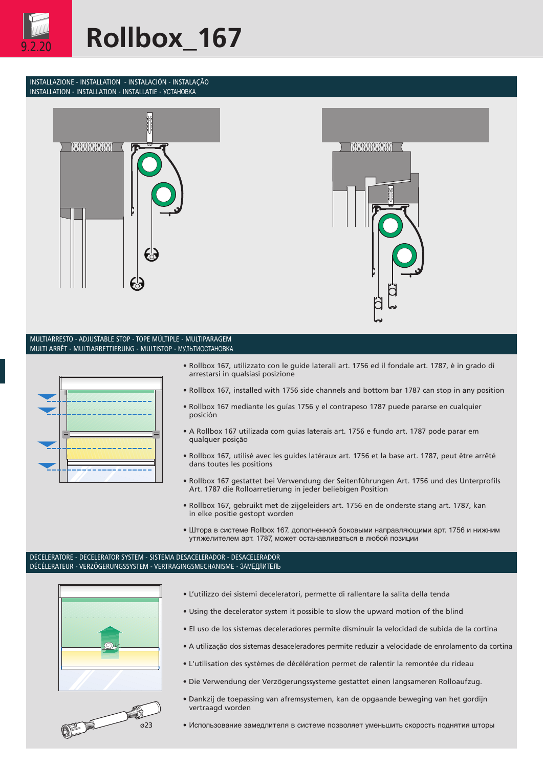

### INSTALLAZIONE - INSTALLATION - INSTALACIÓN - INSTALAÇÃO INSTALLATION - INSTALLATION - INSTALLATIE - УСТАНОВКА





### MULTIARRESTO - ADJUSTABLE STOP - TOPE MÚLTIPLE - MULTIPARAGEM MULTI ARRÊT - MULTIARRETTIERUNG - MULTISTOP - МУЛЬТИОСТАНОВКА



- Rollbox 167, utilizzato con le guide laterali art. 1756 ed il fondale art. 1787, è in grado di arrestarsi in qualsiasi posizione
- Rollbox 167, installed with 1756 side channels and bottom bar 1787 can stop in any position
- Rollbox 167 mediante les guías 1756 y el contrapeso 1787 puede pararse en cualquier posición
- A Rollbox 167 utilizada com guias laterais art. 1756 e fundo art. 1787 pode parar em qualquer posição
- Rollbox 167, utilisé avec les guides latéraux art. 1756 et la base art. 1787, peut être arrêté dans toutes les positions
- Rollbox 167 gestattet bei Verwendung der Seitenführungen Art. 1756 und des Unterprofils Art. 1787 die Rolloarretierung in jeder beliebigen Position
- Rollbox 167, gebruikt met de zijgeleiders art. 1756 en de onderste stang art. 1787, kan in elke positie gestopt worden
- Штора в системе Rollbox 167, дополненной боковыми направляющими арт. 1756 и нижним утяжелителем арт. 1787, может останавливаться в любой позиции

#### DECELERATORE - DECELERATOR SYSTEM - SISTEMA DESACELERADOR - DESACELERADOR DÉCÉLERATEUR - VERZÖGERUNGSSYSTEM - VERTRAGINGSMECHANISME - ЗАМЕДЛИТЕЛЬ





- L'utilizzo dei sistemi deceleratori, permette di rallentare la salita della tenda
- Using the decelerator system it possible to slow the upward motion of the blind
- El uso de los sistemas deceleradores permite disminuir la velocidad de subida de la cortina
- A utilização dos sistemas desaceleradores permite reduzir a velocidade de enrolamento da cortina
- L'utilisation des systèmes de décélération permet de ralentir la remontée du rideau
- Die Verwendung der Verzögerungssysteme gestattet einen langsameren Rolloaufzug.
- Dankzij de toepassing van afremsystemen, kan de opgaande beweging van het gordijn vertraagd worden
- ø23 Использование замедлителя в системе позволяет уменьшить скорость поднятия шторы